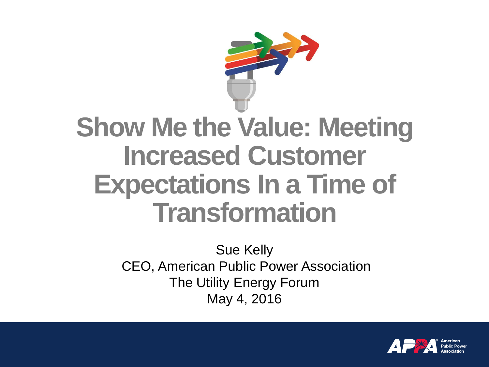

#### **Show Me the Value: Meeting Increased Customer Expectations In a Time of Transformation**

Sue Kelly CEO, American Public Power Association The Utility Energy Forum May 4, 2016

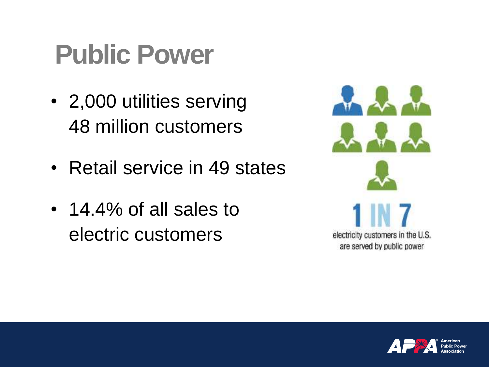#### **Public Power**

- 2,000 utilities serving 48 million customers
- Retail service in 49 states
- 14.4% of all sales to electric customers



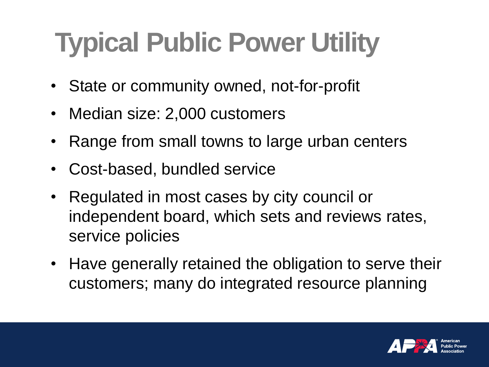## **Typical Public Power Utility**

- State or community owned, not-for-profit
- Median size: 2,000 customers
- Range from small towns to large urban centers
- Cost-based, bundled service
- Regulated in most cases by city council or independent board, which sets and reviews rates, service policies
- Have generally retained the obligation to serve their customers; many do integrated resource planning

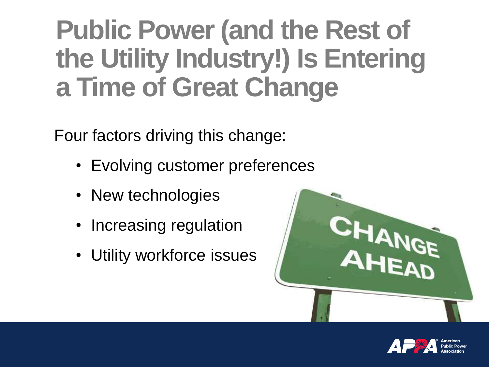#### **Public Power (and the Rest of the Utility Industry!) Is Entering a Time of Great Change**

Four factors driving this change:

- Evolving customer preferences
- New technologies
- Increasing regulation
- Utility workforce issues



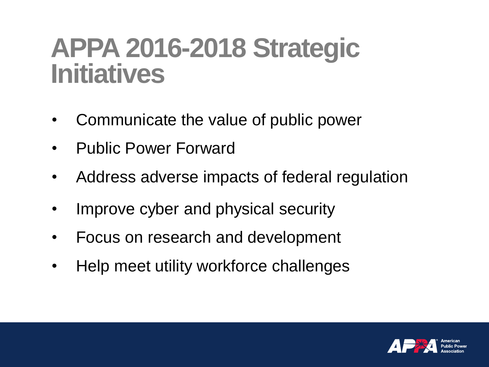#### **APPA 2016-2018 Strategic Initiatives**

- Communicate the value of public power
- Public Power Forward
- Address adverse impacts of federal regulation
- Improve cyber and physical security
- Focus on research and development
- Help meet utility workforce challenges

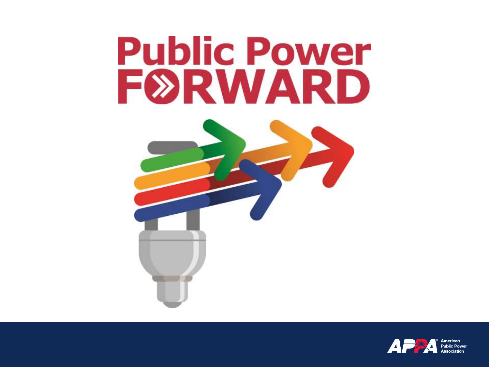# **Public Power** FØRWARD



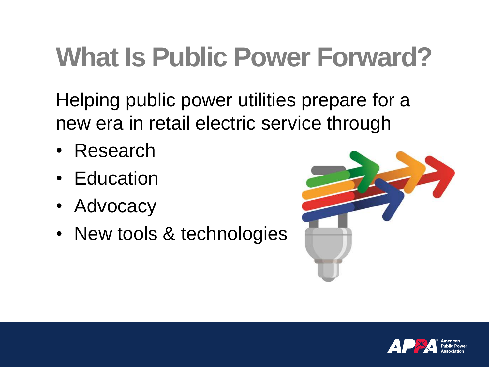## **What Is Public Power Forward?**

Helping public power utilities prepare for a new era in retail electric service through

- Research
- Education
- Advocacy
- New tools & technologies



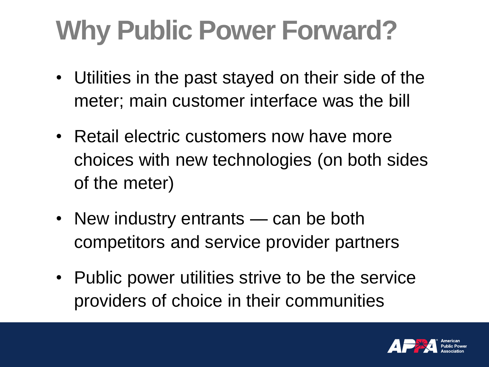## **Why Public Power Forward?**

- Utilities in the past stayed on their side of the meter; main customer interface was the bill
- Retail electric customers now have more choices with new technologies (on both sides of the meter)
- New industry entrants can be both competitors and service provider partners
- Public power utilities strive to be the service providers of choice in their communities

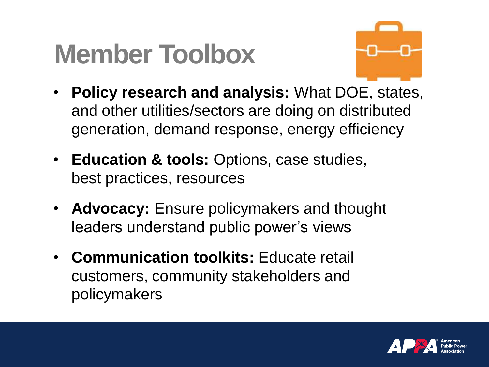#### **Member Toolbox**



- **Policy research and analysis:** What DOE, states, and other utilities/sectors are doing on distributed generation, demand response, energy efficiency
- **Education & tools:** Options, case studies, best practices, resources
- **Advocacy:** Ensure policymakers and thought leaders understand public power's views
- **Communication toolkits:** Educate retail customers, community stakeholders and policymakers

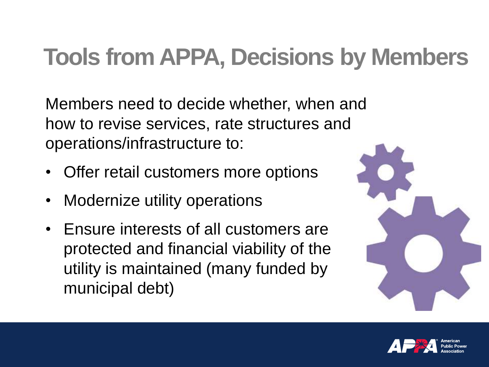#### **Tools from APPA, Decisions by Members**

Members need to decide whether, when and how to revise services, rate structures and operations/infrastructure to:

- Offer retail customers more options
- Modernize utility operations
- Ensure interests of all customers are protected and financial viability of the utility is maintained (many funded by municipal debt)



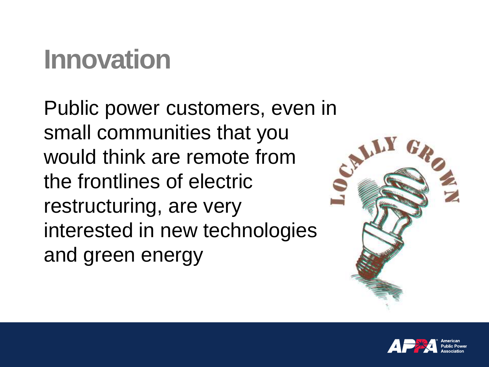### **Innovation**

Public power customers, even in small communities that you would think are remote from the frontlines of electric restructuring, are very interested in new technologies and green energy



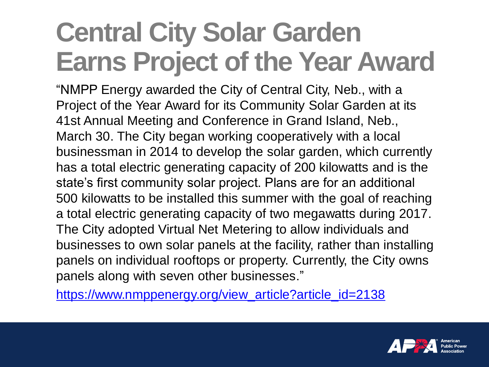### **Central City Solar Garden Earns Project of the Year Award**

"NMPP Energy awarded the City of Central City, Neb., with a Project of the Year Award for its Community Solar Garden at its 41st Annual Meeting and Conference in Grand Island, Neb., March 30. The City began working cooperatively with a local businessman in 2014 to develop the solar garden, which currently has a total electric generating capacity of 200 kilowatts and is the state's first community solar project. Plans are for an additional 500 kilowatts to be installed this summer with the goal of reaching a total electric generating capacity of two megawatts during 2017. The City adopted Virtual Net Metering to allow individuals and businesses to own solar panels at the facility, rather than installing panels on individual rooftops or property. Currently, the City owns panels along with seven other businesses."

[https://www.nmppenergy.org/view\\_article?article\\_id=2138](https://www.nmppenergy.org/view_article?article_id=2138)

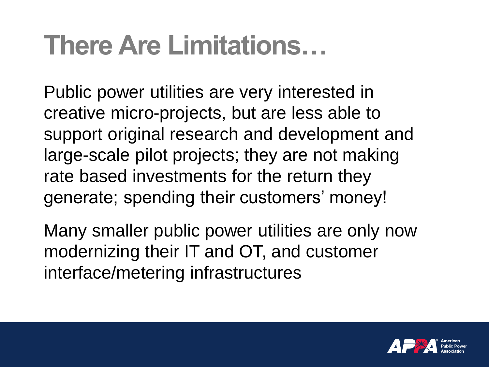#### **There Are Limitations…**

Public power utilities are very interested in creative micro-projects, but are less able to support original research and development and large-scale pilot projects; they are not making rate based investments for the return they generate; spending their customers' money!

Many smaller public power utilities are only now modernizing their IT and OT, and customer interface/metering infrastructures

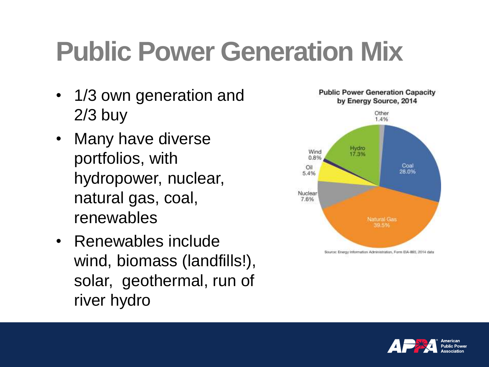### **Public Power Generation Mix**

- 1/3 own generation and 2/3 buy
- Many have diverse portfolios, with hydropower, nuclear, natural gas, coal, renewables
- Renewables include wind, biomass (landfills!), solar, geothermal, run of river hydro



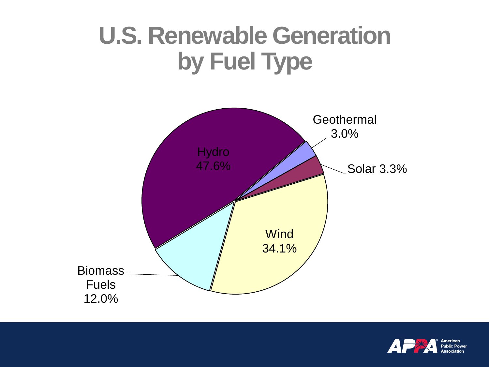#### **U.S. Renewable Generation by Fuel Type**



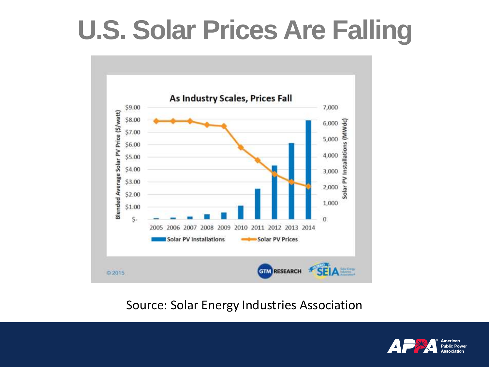#### **U.S. Solar Prices Are Falling**



#### Source: Solar Energy Industries Association

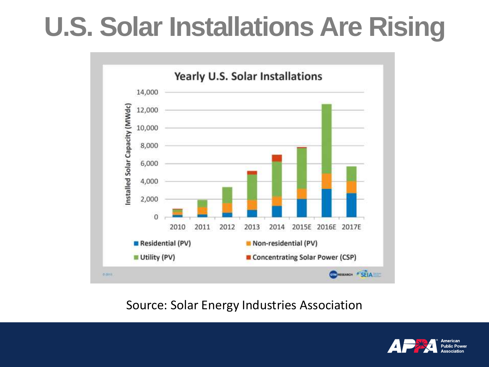#### **U.S. Solar Installations Are Rising**



#### Source: Solar Energy Industries Association

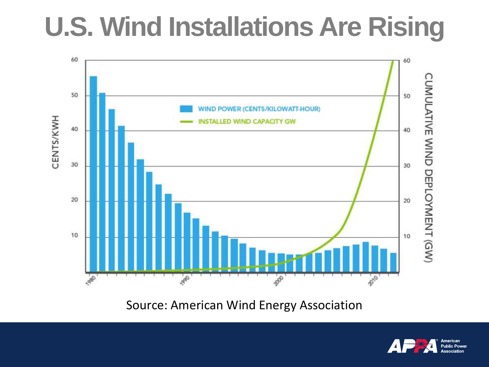### **U.S. Wind Installations Are Rising**



Source: American Wind Energy Association

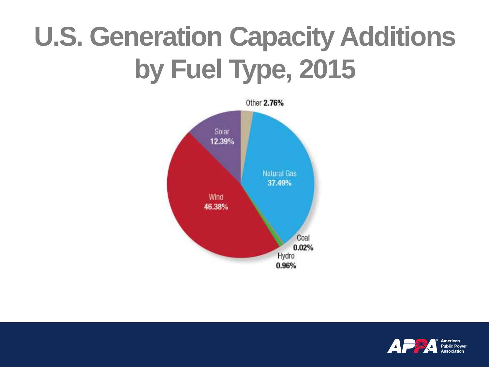## **U.S. Generation Capacity Additions by Fuel Type, 2015**



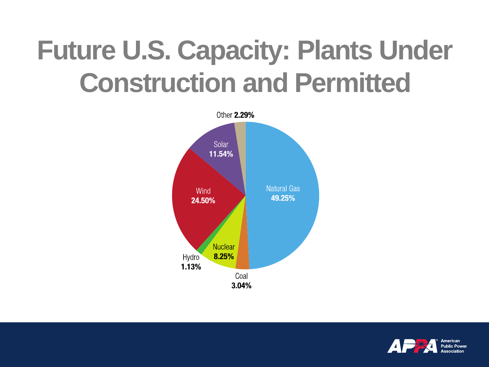### **Future U.S. Capacity: Plants Under Construction and Permitted**



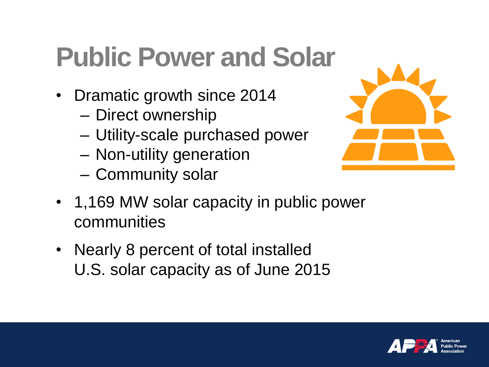#### **Public Power and Solar**

- Dramatic growth since 2014
	- Direct ownership
	- Utility-scale purchased power
	- Non-utility generation
	- Community solar



- 1,169 MW solar capacity in public power communities
- Nearly 8 percent of total installed U.S. solar capacity as of June 2015

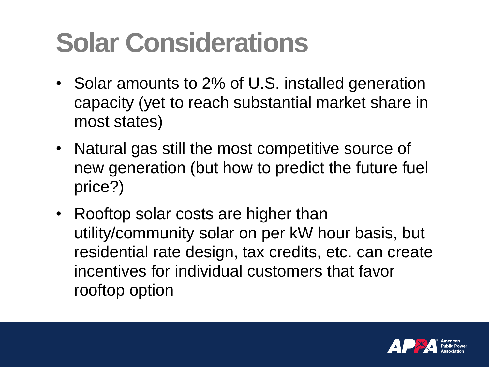## **Solar Considerations**

- Solar amounts to 2% of U.S. installed generation capacity (yet to reach substantial market share in most states)
- Natural gas still the most competitive source of new generation (but how to predict the future fuel price?)
- Rooftop solar costs are higher than utility/community solar on per kW hour basis, but residential rate design, tax credits, etc. can create incentives for individual customers that favor rooftop option

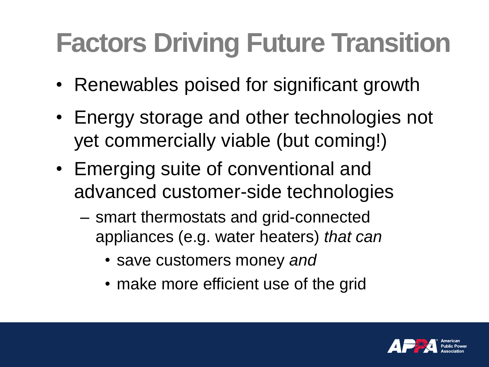## **Factors Driving Future Transition**

- Renewables poised for significant growth
- Energy storage and other technologies not yet commercially viable (but coming!)
- Emerging suite of conventional and advanced customer-side technologies
	- smart thermostats and grid-connected appliances (e.g. water heaters) *that can* 
		- save customers money *and*
		- make more efficient use of the grid

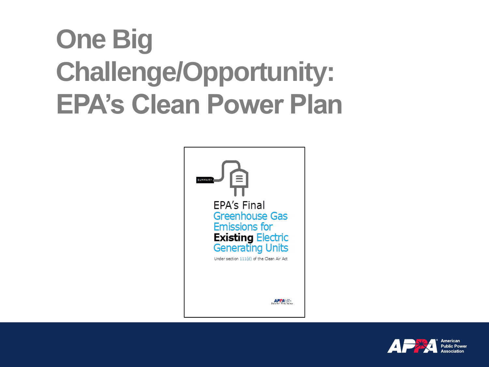## **One Big Challenge/Opportunity: EPA's Clean Power Plan**



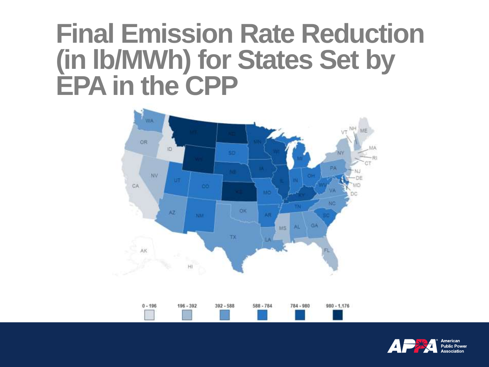#### **Final Emission Rate Reduction (in lb/MWh) for States Set by EPA in the CPP**



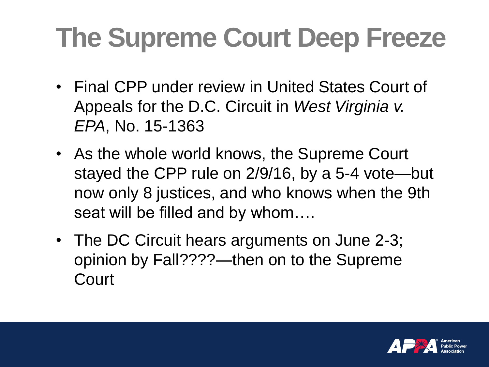## **The Supreme Court Deep Freeze**

- Final CPP under review in United States Court of Appeals for the D.C. Circuit in *West Virginia v. EPA*, No. 15-1363
- As the whole world knows, the Supreme Court stayed the CPP rule on 2/9/16, by a 5-4 vote—but now only 8 justices, and who knows when the 9th seat will be filled and by whom….
- The DC Circuit hears arguments on June 2-3; opinion by Fall????—then on to the Supreme **Court**

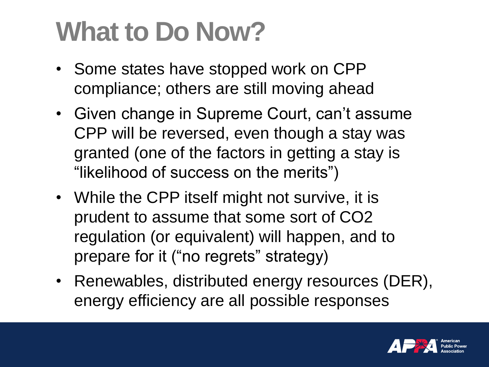### **What to Do Now?**

- Some states have stopped work on CPP compliance; others are still moving ahead
- Given change in Supreme Court, can't assume CPP will be reversed, even though a stay was granted (one of the factors in getting a stay is "likelihood of success on the merits")
- While the CPP itself might not survive, it is prudent to assume that some sort of CO2 regulation (or equivalent) will happen, and to prepare for it ("no regrets" strategy)
- Renewables, distributed energy resources (DER), energy efficiency are all possible responses

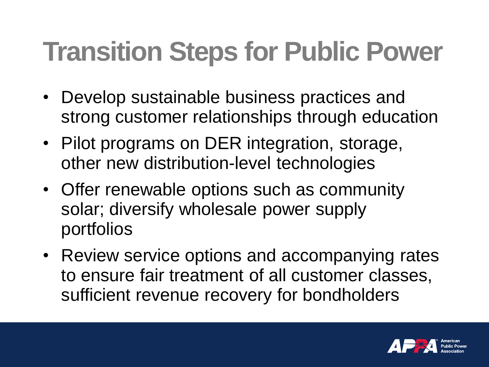## **Transition Steps for Public Power**

- Develop sustainable business practices and strong customer relationships through education
- Pilot programs on DER integration, storage, other new distribution-level technologies
- Offer renewable options such as community solar; diversify wholesale power supply portfolios
- Review service options and accompanying rates to ensure fair treatment of all customer classes, sufficient revenue recovery for bondholders

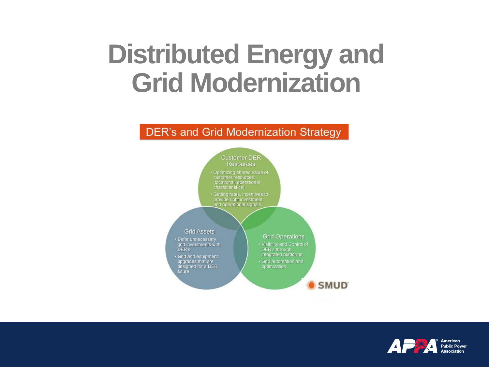#### **Distributed Energy and Grid Modernization**

#### **DER's and Grid Modernization Strategy**



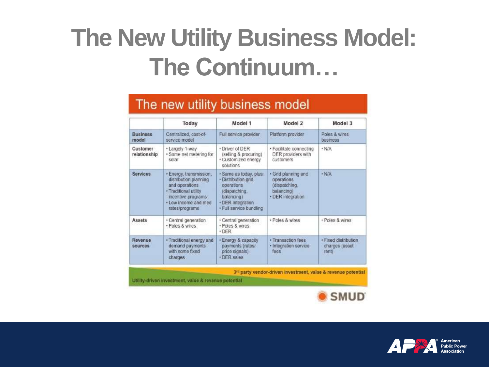#### **The New Utility Business Model: The Continuum…**

#### The new utility business model

|                          | Today                                                                                                                                                       | Model 1                                                                                                                                  | Model 2                                                                               | Model 3                                         |
|--------------------------|-------------------------------------------------------------------------------------------------------------------------------------------------------------|------------------------------------------------------------------------------------------------------------------------------------------|---------------------------------------------------------------------------------------|-------------------------------------------------|
| <b>Business</b><br>model | Centralized, cost-of-<br>service model                                                                                                                      | Full service provider                                                                                                                    | Platform provider                                                                     | Poles & wires<br><b>business</b>                |
| Customer<br>relationship | • Largely 1-way<br>· Some net metering for<br>solar                                                                                                         | . Driver of DER<br>(selling & procuring)<br>· Customized energy<br>solutions                                                             | · Facilitate connecting<br>DER providers with<br>customers                            | · N/A                                           |
| Services                 | · Energy, transmission,<br>distribution planning<br>and operations<br>· Traditional utility<br>incentive programs<br>. Low income and med<br>rates/programs | · Same as today, plus:<br>Distribution grid<br>operations<br>(dispatching,<br>balancing)<br>· DER integration<br>· Full service bundling | · Grid planning and<br>operations<br>(dispatching,<br>balancingi<br>· DER integration | · N/A                                           |
| <b>Assets</b>            | • Central generation<br>· Poles & wires                                                                                                                     | · Central generation<br>· Poles & wires<br>· DER                                                                                         | · Poles & wires                                                                       | · Poles & wires                                 |
| Revenue<br>sources       | · Traditional energy and<br>demand payments<br>with some fixed<br>charges.                                                                                  | · Energy & capacity<br>payments (rates)<br>price signals)<br>· DER sales                                                                 | · Transaction fees<br>· Integration service<br>fees.                                  | · Fixed distribution<br>charges (asset<br>rent) |

3<sup>m</sup> party vendor-driven investment, value & revenue potential

Utility-driven investment, value & revenue potential



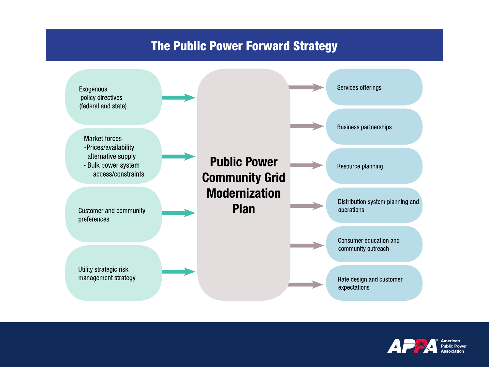#### **The Public Power Forward Strategy**



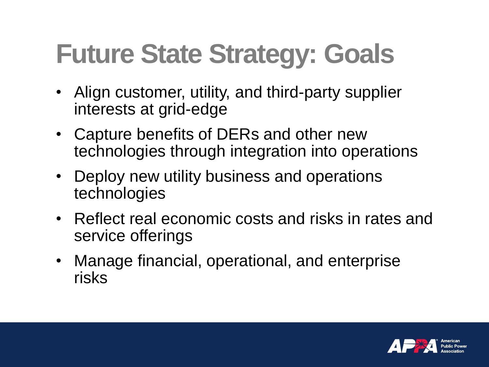## **Future State Strategy: Goals**

- Align customer, utility, and third-party supplier interests at grid-edge
- Capture benefits of DERs and other new technologies through integration into operations
- Deploy new utility business and operations technologies
- Reflect real economic costs and risks in rates and service offerings
- Manage financial, operational, and enterprise risks